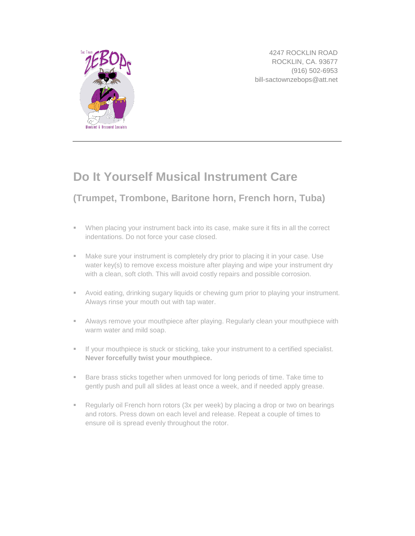

4247 ROCKLIN ROAD ROCKLIN, CA. 93677 (916) 502-6953 bill-sactownzebops@att.net

## **Do It Yourself Musical Instrument Care**

## **[\(Trumpet,](http://www.musicnotes.com/trumpet/?utm_source=Musicnotes%20Blog&utm_medium=referral&utm_campaign=Basics%20of%20Musical%20Instrument%20Care) [Trombone,](http://www.musicnotes.com/trombone/?utm_source=Musicnotes%20Blog&utm_medium=referral&utm_campaign=Basics%20of%20Musical%20Instrument%20Care) Baritone horn, French [horn,](http://www.musicnotes.com/french_horn/?utm_source=Musicnotes%20Blog&utm_medium=referral&utm_campaign=Basics%20of%20Musical%20Instrument%20Care) [Tuba\)](http://www.musicnotes.com/search/go?af=inst2:Brass_Tuba%20inst1:Brass&isort=bestselling&utm_source=Musicnotes%20Blog&utm_medium=referral&utm_campaign=Basics%20of%20Musical%20Instrument%20Care)**

- When placing your instrument back into its case, make sure it fits in all the correct indentations. Do not force your case closed.
- Make sure your instrument is completely dry prior to placing it in your case. Use water key(s) to remove excess moisture after playing and wipe your instrument dry with a clean, soft cloth. This will avoid costly repairs and possible corrosion.
- Avoid eating, drinking sugary liquids or chewing gum prior to playing your instrument. Always rinse your mouth out with tap water.
- Always remove your mouthpiece after playing. Regularly clean your mouthpiece with warm water and mild soap.
- If your mouthpiece is stuck or sticking, take your instrument to a certified specialist. **Never forcefully twist your mouthpiece.**
- **Bare brass sticks together when unmoved for long periods of time. Take time to** gently push and pull all slides at least once a week, and if needed apply grease.
- **Regularly oil French horn rotors (3x per week) by placing a drop or two on bearings** and rotors. Press down on each level and release. Repeat a couple of times to ensure oil is spread evenly throughout the rotor.